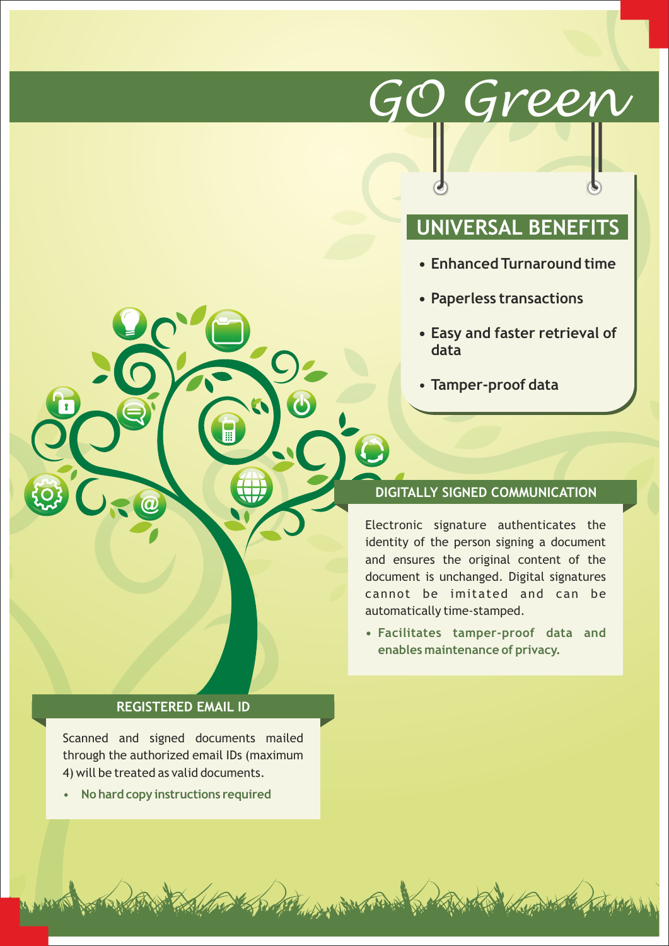# *GO Green*

# **UNIVERSAL BENEFITS**

- **Enhanced Turnaround time**
- **Paperless transactions**
- **Easy and faster retrieval of data**
- **Tamper-proof data**

## **DIGITALLY SIGNED COMMUNICATION**

Electronic signature authenticates the identity of the person signing a document and ensures the original content of the document is unchanged. Digital signatures cannot be imitated and can be automatically time-stamped.

**• Facilitates tamper-proof data and enables maintenance of privacy.**

North Read

#### **REGISTERED EMAIL ID**

Scanned and signed documents mailed through the authorized email IDs (maximum 4) will be treated as valid documents.

• **No hard copy instructions required**